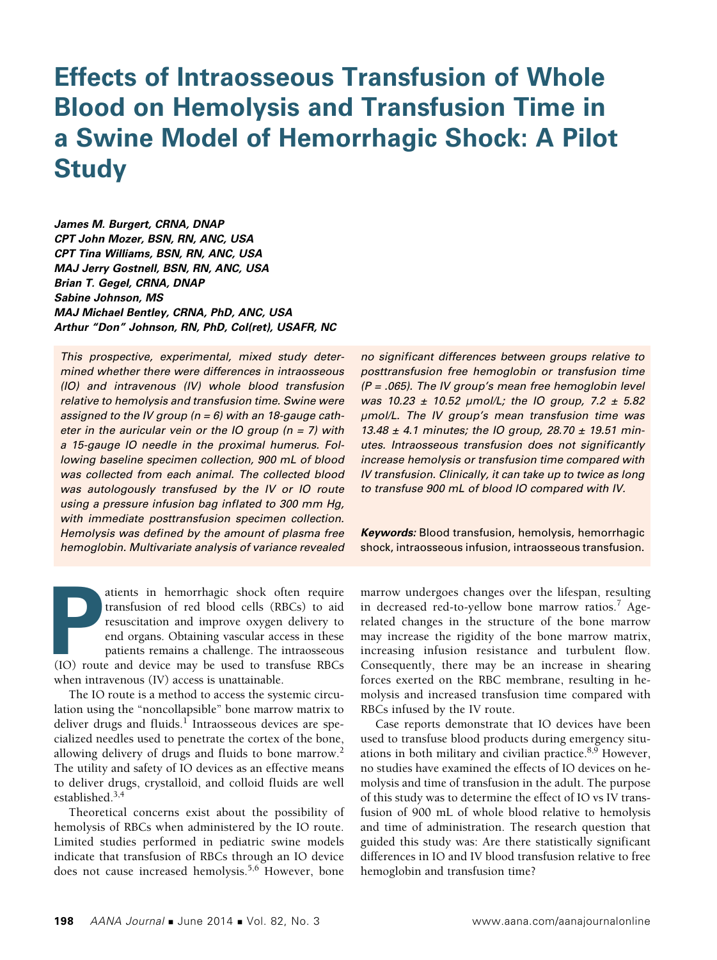# **Effects of Intraosseous Transfusion of Whole Blood on Hemolysis and Transfusion Time in a Swine Model of Hemorrhagic Shock: A Pilot Study**

*James M. Burgert, CRNA, DNAP CPT John Mozer, BSN, RN, ANC, USA CPT Tina Williams, BSN, RN, ANC, USA MAJ Jerry Gostnell, BSN, RN, ANC, USA Brian T. Gegel, CRNA, DNAP Sabine Johnson, MS MAJ Michael Bentley, CRNA, PhD, ANC, USA Arthur "Don" Johnson, RN, PhD, Col(ret), USAFR, NC*

*This prospective, experimental, mixed study determined whether there were differences in intraosseous (IO) and intravenous (IV) whole blood transfusion relative to hemolysis and transfusion time. Swine were assigned to the IV group (n = 6) with an 18-gauge catheter in the auricular vein or the IO group (n = 7) with a 15-gauge IO needle in the proximal humerus. Following baseline specimen collection, 900 mL of blood was collected from each animal. The collected blood was autologously transfused by the IV or IO route using a pressure infusion bag inflated to 300 mm Hg, with immediate posttransfusion specimen collection. Hemolysis was defined by the amount of plasma free hemoglobin. Multivariate analysis of variance revealed* 

atients in hemorrhagic shock often require<br>
transfusion of red blood cells (RBCs) to aid<br>
resuscitation and improve oxygen delivery to<br>
end organs. Obtaining vascular access in these<br>
patients remains a challenge. The intr atients in hemorrhagic shock often require transfusion of red blood cells (RBCs) to aid resuscitation and improve oxygen delivery to end organs. Obtaining vascular access in these patients remains a challenge. The intraosseous when intravenous (IV) access is unattainable.

The IO route is a method to access the systemic circulation using the "noncollapsible" bone marrow matrix to deliver drugs and fluids.<sup>1</sup> Intraosseous devices are specialized needles used to penetrate the cortex of the bone, allowing delivery of drugs and fluids to bone marrow.<sup>2</sup> The utility and safety of IO devices as an effective means to deliver drugs, crystalloid, and colloid fluids are well established. $3,4$ 

Theoretical concerns exist about the possibility of hemolysis of RBCs when administered by the IO route. Limited studies performed in pediatric swine models indicate that transfusion of RBCs through an IO device does not cause increased hemolysis.<sup>5,6</sup> However, bone

*no significant differences between groups relative to posttransfusion free hemoglobin or transfusion time (P = .065). The IV group's mean free hemoglobin level was 10.23 ± 10.52 μmol/L; the IO group, 7.2 ± 5.82 μmol/L. The IV group's mean transfusion time was 13.48 ± 4.1 minutes; the IO group, 28.70 ± 19.51 minutes. Intraosseous transfusion does not significantly increase hemolysis or transfusion time compared with IV transfusion. Clinically, it can take up to twice as long to transfuse 900 mL of blood IO compared with IV.*

*Keywords:* Blood transfusion, hemolysis, hemorrhagic shock, intraosseous infusion, intraosseous transfusion.

marrow undergoes changes over the lifespan, resulting in decreased red-to-yellow bone marrow ratios.<sup>7</sup> Agerelated changes in the structure of the bone marrow may increase the rigidity of the bone marrow matrix, increasing infusion resistance and turbulent flow. Consequently, there may be an increase in shearing forces exerted on the RBC membrane, resulting in hemolysis and increased transfusion time compared with RBCs infused by the IV route.

Case reports demonstrate that IO devices have been used to transfuse blood products during emergency situations in both military and civilian practice. $8,9$  However, no studies have examined the effects of IO devices on hemolysis and time of transfusion in the adult. The purpose of this study was to determine the effect of IO vs IV transfusion of 900 mL of whole blood relative to hemolysis and time of administration. The research question that guided this study was: Are there statistically significant differences in IO and IV blood transfusion relative to free hemoglobin and transfusion time?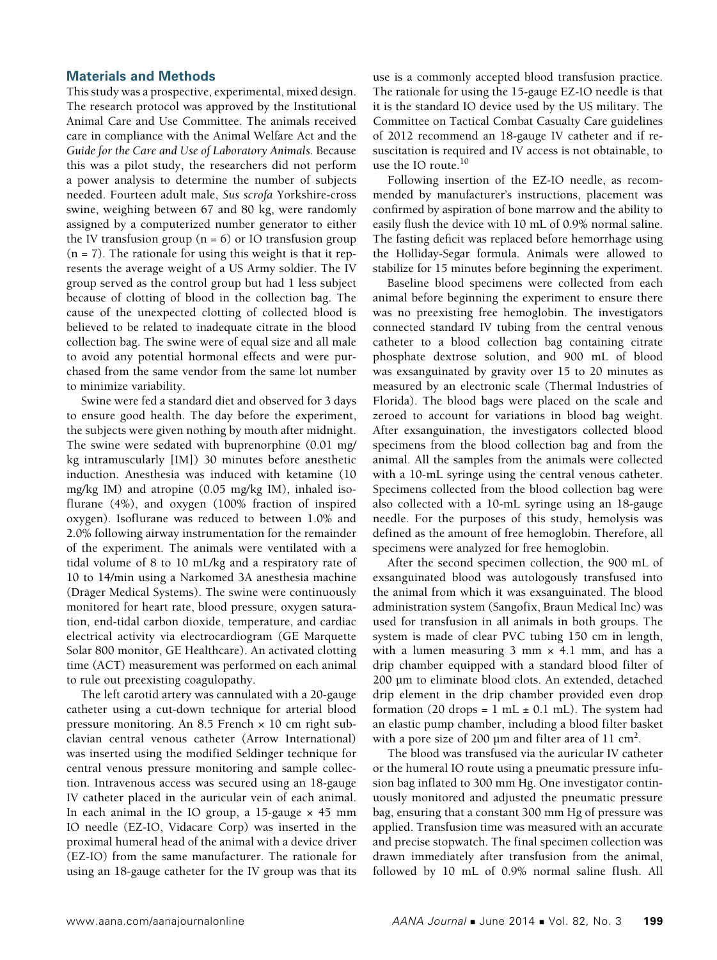# **Materials and Methods**

This study was a prospective, experimental, mixed design. The research protocol was approved by the Institutional Animal Care and Use Committee. The animals received care in compliance with the Animal Welfare Act and the *Guide for the Care and Use of Laboratory Animals*. Because this was a pilot study, the researchers did not perform a power analysis to determine the number of subjects needed. Fourteen adult male, *Sus scrofa* Yorkshire-cross swine, weighing between 67 and 80 kg, were randomly assigned by a computerized number generator to either the IV transfusion group  $(n = 6)$  or IO transfusion group  $(n = 7)$ . The rationale for using this weight is that it represents the average weight of a US Army soldier. The IV group served as the control group but had 1 less subject because of clotting of blood in the collection bag. The cause of the unexpected clotting of collected blood is believed to be related to inadequate citrate in the blood collection bag. The swine were of equal size and all male to avoid any potential hormonal effects and were purchased from the same vendor from the same lot number to minimize variability.

Swine were fed a standard diet and observed for 3 days to ensure good health. The day before the experiment, the subjects were given nothing by mouth after midnight. The swine were sedated with buprenorphine (0.01 mg/ kg intramuscularly [IM]) 30 minutes before anesthetic induction. Anesthesia was induced with ketamine (10 mg/kg IM) and atropine (0.05 mg/kg IM), inhaled isoflurane (4%), and oxygen (100% fraction of inspired oxygen). Isoflurane was reduced to between 1.0% and 2.0% following airway instrumentation for the remainder of the experiment. The animals were ventilated with a tidal volume of 8 to 10 mL/kg and a respiratory rate of 10 to 14/min using a Narkomed 3A anesthesia machine (Dräger Medical Systems). The swine were continuously monitored for heart rate, blood pressure, oxygen saturation, end-tidal carbon dioxide, temperature, and cardiac electrical activity via electrocardiogram (GE Marquette Solar 800 monitor, GE Healthcare). An activated clotting time (ACT) measurement was performed on each animal to rule out preexisting coagulopathy.

The left carotid artery was cannulated with a 20-gauge catheter using a cut-down technique for arterial blood pressure monitoring. An  $8.5$  French  $\times$  10 cm right subclavian central venous catheter (Arrow International) was inserted using the modified Seldinger technique for central venous pressure monitoring and sample collection. Intravenous access was secured using an 18-gauge IV catheter placed in the auricular vein of each animal. In each animal in the IO group, a  $15$ -gauge  $\times$  45 mm IO needle (EZ-IO, Vidacare Corp) was inserted in the proximal humeral head of the animal with a device driver (EZ-IO) from the same manufacturer. The rationale for using an 18-gauge catheter for the IV group was that its

use is a commonly accepted blood transfusion practice. The rationale for using the 15-gauge EZ-IO needle is that it is the standard IO device used by the US military. The Committee on Tactical Combat Casualty Care guidelines of 2012 recommend an 18-gauge IV catheter and if resuscitation is required and IV access is not obtainable, to use the IO route.<sup>10</sup>

Following insertion of the EZ-IO needle, as recommended by manufacturer's instructions, placement was confirmed by aspiration of bone marrow and the ability to easily flush the device with 10 mL of 0.9% normal saline. The fasting deficit was replaced before hemorrhage using the Holliday-Segar formula. Animals were allowed to stabilize for 15 minutes before beginning the experiment.

Baseline blood specimens were collected from each animal before beginning the experiment to ensure there was no preexisting free hemoglobin. The investigators connected standard IV tubing from the central venous catheter to a blood collection bag containing citrate phosphate dextrose solution, and 900 mL of blood was exsanguinated by gravity over 15 to 20 minutes as measured by an electronic scale (Thermal Industries of Florida). The blood bags were placed on the scale and zeroed to account for variations in blood bag weight. After exsanguination, the investigators collected blood specimens from the blood collection bag and from the animal. All the samples from the animals were collected with a 10-mL syringe using the central venous catheter. Specimens collected from the blood collection bag were also collected with a 10-mL syringe using an 18-gauge needle. For the purposes of this study, hemolysis was defined as the amount of free hemoglobin. Therefore, all specimens were analyzed for free hemoglobin.

After the second specimen collection, the 900 mL of exsanguinated blood was autologously transfused into the animal from which it was exsanguinated. The blood administration system (Sangofix, Braun Medical Inc) was used for transfusion in all animals in both groups. The system is made of clear PVC tubing 150 cm in length, with a lumen measuring  $3$  mm  $\times$  4.1 mm, and has a drip chamber equipped with a standard blood filter of 200 µm to eliminate blood clots. An extended, detached drip element in the drip chamber provided even drop formation (20 drops = 1 mL  $\pm$  0.1 mL). The system had an elastic pump chamber, including a blood filter basket with a pore size of 200  $\mu$ m and filter area of 11 cm<sup>2</sup>.

The blood was transfused via the auricular IV catheter or the humeral IO route using a pneumatic pressure infusion bag inflated to 300 mm Hg. One investigator continuously monitored and adjusted the pneumatic pressure bag, ensuring that a constant 300 mm Hg of pressure was applied. Transfusion time was measured with an accurate and precise stopwatch. The final specimen collection was drawn immediately after transfusion from the animal, followed by 10 mL of 0.9% normal saline flush. All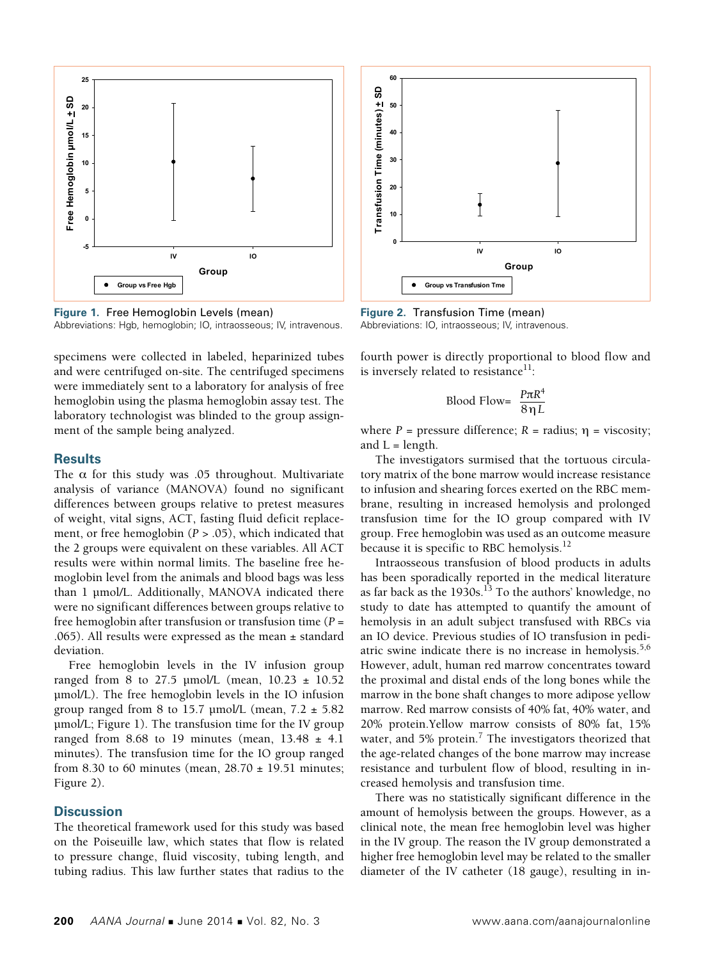

**Figure 1.** Free Hemoglobin Levels (mean) Abbreviations: Hgb, hemoglobin; IO, intraosseous; IV, intravenous.

specimens were collected in labeled, heparinized tubes and were centrifuged on-site. The centrifuged specimens were immediately sent to a laboratory for analysis of free hemoglobin using the plasma hemoglobin assay test. The laboratory technologist was blinded to the group assignment of the sample being analyzed.

## **Results**

The  $\alpha$  for this study was .05 throughout. Multivariate analysis of variance (MANOVA) found no significant differences between groups relative to pretest measures of weight, vital signs, ACT, fasting fluid deficit replacement, or free hemoglobin (*P* > .05), which indicated that the 2 groups were equivalent on these variables. All ACT results were within normal limits. The baseline free hemoglobin level from the animals and blood bags was less than 1 μmol/L. Additionally, MANOVA indicated there were no significant differences between groups relative to free hemoglobin after transfusion or transfusion time (*P* = .065). All results were expressed as the mean  $\pm$  standard deviation.

Free hemoglobin levels in the IV infusion group ranged from 8 to 27.5  $\mu$ mol/L (mean, 10.23  $\pm$  10.52 μmol/L). The free hemoglobin levels in the IO infusion group ranged from 8 to 15.7  $\mu$ mol/L (mean, 7.2  $\pm$  5.82 μmol/L; Figure 1). The transfusion time for the IV group ranged from 8.68 to 19 minutes (mean,  $13.48 \pm 4.1$ minutes). The transfusion time for the IO group ranged from 8.30 to 60 minutes (mean,  $28.70 \pm 19.51$  minutes; Figure 2).

# **Discussion**

The theoretical framework used for this study was based on the Poiseuille law, which states that flow is related to pressure change, fluid viscosity, tubing length, and tubing radius. This law further states that radius to the



**Figure 2.** Transfusion Time (mean) Abbreviations: IO, intraosseous; IV, intravenous.

fourth power is directly proportional to blood flow and is inversely related to resistance<sup>11</sup>:

$$
\text{ Blood Flow} = \frac{P\pi R^4}{8\eta L}
$$

where  $P =$  pressure difference;  $R =$  radius;  $\eta =$  viscosity; and  $L =$  length.

The investigators surmised that the tortuous circulatory matrix of the bone marrow would increase resistance to infusion and shearing forces exerted on the RBC membrane, resulting in increased hemolysis and prolonged transfusion time for the IO group compared with IV group. Free hemoglobin was used as an outcome measure because it is specific to RBC hemolysis.<sup>12</sup>

Intraosseous transfusion of blood products in adults has been sporadically reported in the medical literature as far back as the 1930s.<sup>13</sup> To the authors' knowledge, no study to date has attempted to quantify the amount of hemolysis in an adult subject transfused with RBCs via an IO device. Previous studies of IO transfusion in pediatric swine indicate there is no increase in hemolysis.<sup>5,6</sup> However, adult, human red marrow concentrates toward the proximal and distal ends of the long bones while the marrow in the bone shaft changes to more adipose yellow marrow. Red marrow consists of 40% fat, 40% water, and 20% protein.Yellow marrow consists of 80% fat, 15% water, and 5% protein.<sup>7</sup> The investigators theorized that the age-related changes of the bone marrow may increase resistance and turbulent flow of blood, resulting in increased hemolysis and transfusion time.

There was no statistically significant difference in the amount of hemolysis between the groups. However, as a clinical note, the mean free hemoglobin level was higher in the IV group. The reason the IV group demonstrated a higher free hemoglobin level may be related to the smaller diameter of the IV catheter (18 gauge), resulting in in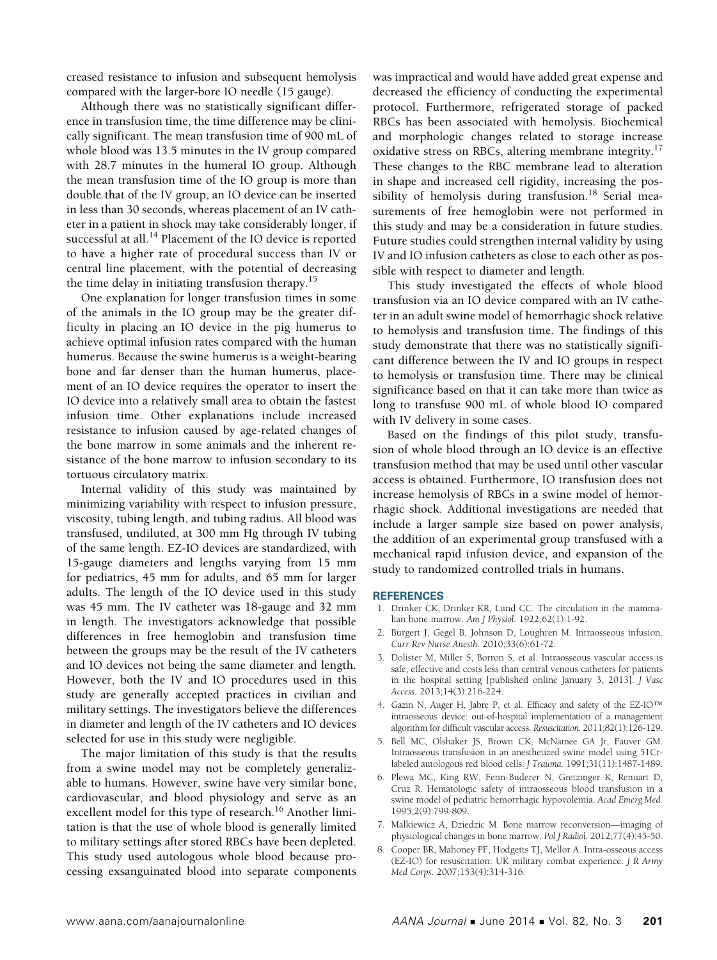creased resistance to infusion and subsequent hemolysis compared with the larger-bore IO needle (15 gauge).

Although there was no statistically significant difference in transfusion time, the time difference may be clinically significant. The mean transfusion time of 900 mL of whole blood was 13.5 minutes in the IV group compared with 28.7 minutes in the humeral IO group. Although the mean transfusion time of the IO group is more than double that of the IV group, an IO device can be inserted in less than 30 seconds, whereas placement of an IV catheter in a patient in shock may take considerably longer, if successful at all.<sup>14</sup> Placement of the IO device is reported to have a higher rate of procedural success than IV or central line placement, with the potential of decreasing the time delay in initiating transfusion therapy.<sup>15</sup>

One explanation for longer transfusion times in some of the animals in the IO group may be the greater difficulty in placing an IO device in the pig humerus to achieve optimal infusion rates compared with the human humerus. Because the swine humerus is a weight-bearing bone and far denser than the human humerus, placement of an IO device requires the operator to insert the IO device into a relatively small area to obtain the fastest infusion time. Other explanations include increased resistance to infusion caused by age-related changes of the bone marrow in some animals and the inherent resistance of the bone marrow to infusion secondary to its tortuous circulatory matrix.

Internal validity of this study was maintained by minimizing variability with respect to infusion pressure, viscosity, tubing length, and tubing radius. All blood was transfused, undiluted, at 300 mm Hg through IV tubing of the same length. EZ-IO devices are standardized, with 15-gauge diameters and lengths varying from 15 mm for pediatrics, 45 mm for adults, and 65 mm for larger adults. The length of the IO device used in this study was 45 mm. The IV catheter was 18-gauge and 32 mm in length. The investigators acknowledge that possible differences in free hemoglobin and transfusion time between the groups may be the result of the IV catheters and IO devices not being the same diameter and length. However, both the IV and IO procedures used in this study are generally accepted practices in civilian and military settings. The investigators believe the differences in diameter and length of the IV catheters and IO devices selected for use in this study were negligible.

The major limitation of this study is that the results from a swine model may not be completely generalizable to humans. However, swine have very similar bone, cardiovascular, and blood physiology and serve as an excellent model for this type of research.<sup>16</sup> Another limitation is that the use of whole blood is generally limited to military settings after stored RBCs have been depleted. This study used autologous whole blood because processing exsanguinated blood into separate components was impractical and would have added great expense and decreased the efficiency of conducting the experimental protocol. Furthermore, refrigerated storage of packed RBCs has been associated with hemolysis. Biochemical and morphologic changes related to storage increase oxidative stress on RBCs, altering membrane integrity.<sup>17</sup> These changes to the RBC membrane lead to alteration in shape and increased cell rigidity, increasing the possibility of hemolysis during transfusion.<sup>18</sup> Serial measurements of free hemoglobin were not performed in this study and may be a consideration in future studies. Future studies could strengthen internal validity by using IV and IO infusion catheters as close to each other as possible with respect to diameter and length.

This study investigated the effects of whole blood transfusion via an IO device compared with an IV catheter in an adult swine model of hemorrhagic shock relative to hemolysis and transfusion time. The findings of this study demonstrate that there was no statistically significant difference between the IV and IO groups in respect to hemolysis or transfusion time. There may be clinical significance based on that it can take more than twice as long to transfuse 900 mL of whole blood IO compared with IV delivery in some cases.

Based on the findings of this pilot study, transfusion of whole blood through an IO device is an effective transfusion method that may be used until other vascular access is obtained. Furthermore, IO transfusion does not increase hemolysis of RBCs in a swine model of hemorrhagic shock. Additional investigations are needed that include a larger sample size based on power analysis, the addition of an experimental group transfused with a mechanical rapid infusion device, and expansion of the study to randomized controlled trials in humans.

### **REFERENCES**

- 1. Drinker CK, Drinker KR, Lund CC. The circulation in the mammalian bone marrow. *Am J Physiol.* 1922;62(1):1-92.
- 2. Burgert J, Gegel B, Johnson D, Loughren M. Intraosseous infusion. *Curr Rev Nurse Anesth*. 2010;33(6):61-72.
- 3. Dolister M, Miller S, Borron S, et al. Intraosseous vascular access is safe, effective and costs less than central venous catheters for patients in the hospital setting [published online January 3, 2013]. *J Vasc Access*. 2013;14(3):216-224.
- 4. Gazin N, Auger H, Jabre P, et al. Efficacy and safety of the EZ-IO™ intraosseous device: out-of-hospital implementation of a management algorithm for difficult vascular access. *Resuscitation.* 2011;82(1):126-129.
- 5. Bell MC, Olshaker JS, Brown CK, McNamee GA Jr, Fauver GM. Intraosseous transfusion in an anesthetized swine model using 51Crlabeled autologous red blood cells. *J Trauma.* 1991;31(11):1487-1489.
- 6. Plewa MC, King RW, Fenn-Buderer N, Gretzinger K, Renuart D, Cruz R. Hematologic safety of intraosseous blood transfusion in a swine model of pediatric hemorrhagic hypovolemia. *Acad Emerg Med.*  1995;2(9):799-809.
- 7. Malkiewicz A, Dziedzic M. Bone marrow reconversion—imaging of physiological changes in bone marrow. *Pol J Radiol.* 2012;77(4):45-50.
- 8. Cooper BR, Mahoney PF, Hodgetts TJ, Mellor A. Intra-osseous access (EZ-IO) for resuscitation: UK military combat experience. *J R Army Med Corps.* 2007;153(4):314-316.